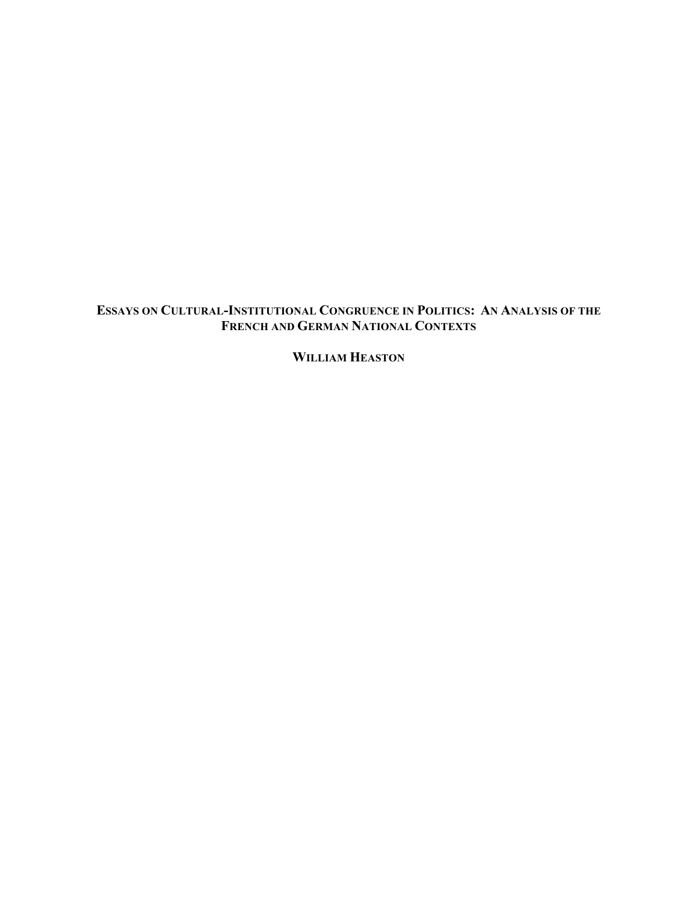# **ESSAYS ON CULTURAL-INSTITUTIONAL CONGRUENCE IN POLITICS: AN ANALYSIS OF THE FRENCH AND GERMAN NATIONAL CONTEXTS**

**WILLIAM HEASTON**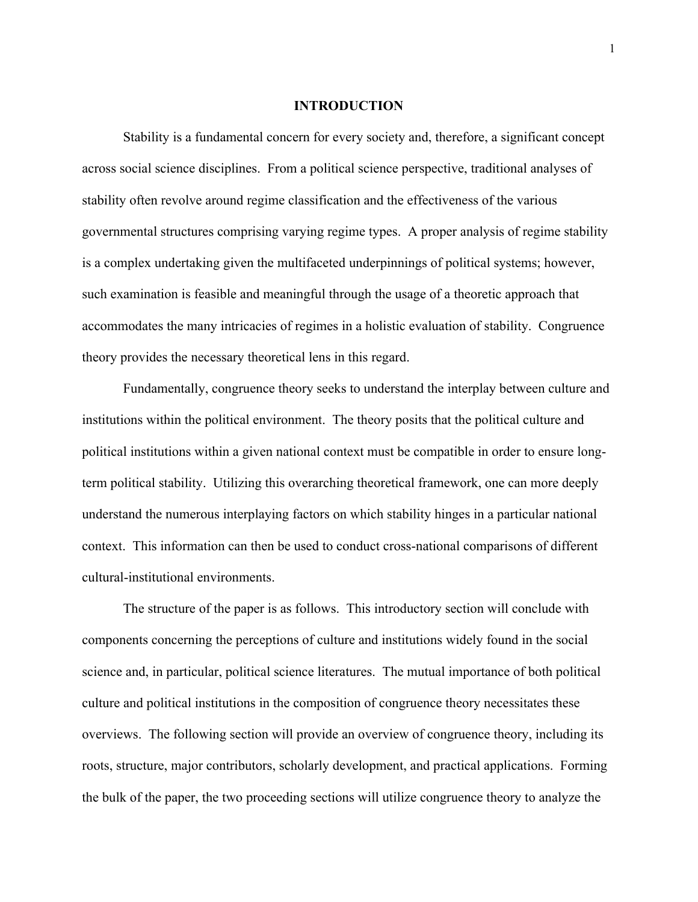#### **INTRODUCTION**

Stability is a fundamental concern for every society and, therefore, a significant concept across social science disciplines. From a political science perspective, traditional analyses of stability often revolve around regime classification and the effectiveness of the various governmental structures comprising varying regime types. A proper analysis of regime stability is a complex undertaking given the multifaceted underpinnings of political systems; however, such examination is feasible and meaningful through the usage of a theoretic approach that accommodates the many intricacies of regimes in a holistic evaluation of stability. Congruence theory provides the necessary theoretical lens in this regard.

Fundamentally, congruence theory seeks to understand the interplay between culture and institutions within the political environment. The theory posits that the political culture and political institutions within a given national context must be compatible in order to ensure longterm political stability. Utilizing this overarching theoretical framework, one can more deeply understand the numerous interplaying factors on which stability hinges in a particular national context. This information can then be used to conduct cross-national comparisons of different cultural-institutional environments.

The structure of the paper is as follows. This introductory section will conclude with components concerning the perceptions of culture and institutions widely found in the social science and, in particular, political science literatures. The mutual importance of both political culture and political institutions in the composition of congruence theory necessitates these overviews. The following section will provide an overview of congruence theory, including its roots, structure, major contributors, scholarly development, and practical applications. Forming the bulk of the paper, the two proceeding sections will utilize congruence theory to analyze the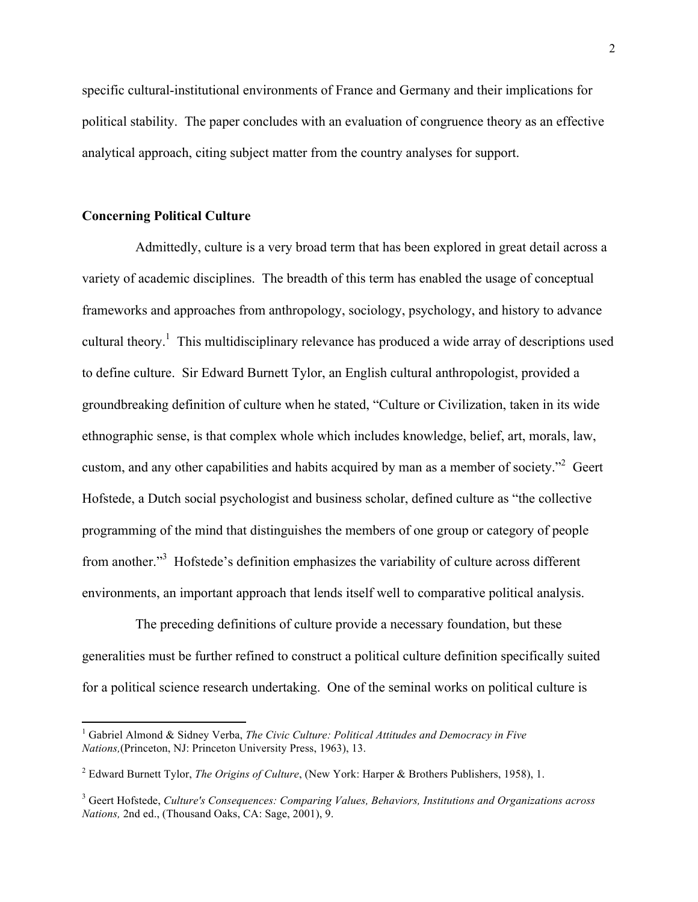specific cultural-institutional environments of France and Germany and their implications for political stability. The paper concludes with an evaluation of congruence theory as an effective analytical approach, citing subject matter from the country analyses for support.

### **Concerning Political Culture**

!!!!!!!!!!!!!!!!!!!!!!!!!!!!!!!!!!!!!!!!!!!!!!!!!!!!!!!!!!!!

Admittedly, culture is a very broad term that has been explored in great detail across a variety of academic disciplines. The breadth of this term has enabled the usage of conceptual frameworks and approaches from anthropology, sociology, psychology, and history to advance cultural theory.<sup>1</sup> This multidisciplinary relevance has produced a wide array of descriptions used to define culture. Sir Edward Burnett Tylor, an English cultural anthropologist, provided a groundbreaking definition of culture when he stated, "Culture or Civilization, taken in its wide ethnographic sense, is that complex whole which includes knowledge, belief, art, morals, law, custom, and any other capabilities and habits acquired by man as a member of society.<sup> $2$ </sup> Geert Hofstede, a Dutch social psychologist and business scholar, defined culture as "the collective programming of the mind that distinguishes the members of one group or category of people from another."<sup>3</sup> Hofstede's definition emphasizes the variability of culture across different environments, an important approach that lends itself well to comparative political analysis.

The preceding definitions of culture provide a necessary foundation, but these generalities must be further refined to construct a political culture definition specifically suited for a political science research undertaking. One of the seminal works on political culture is

<sup>1</sup> Gabriel Almond & Sidney Verba, *The Civic Culture: Political Attitudes and Democracy in Five Nations,*(Princeton, NJ: Princeton University Press, 1963), 13.

<sup>2</sup> Edward Burnett Tylor, *The Origins of Culture*, (New York: Harper & Brothers Publishers, 1958), 1.

<sup>3</sup> Geert Hofstede, *Culture's Consequences: Comparing Values, Behaviors, Institutions and Organizations across Nations,* 2nd ed., (Thousand Oaks, CA: Sage, 2001), 9.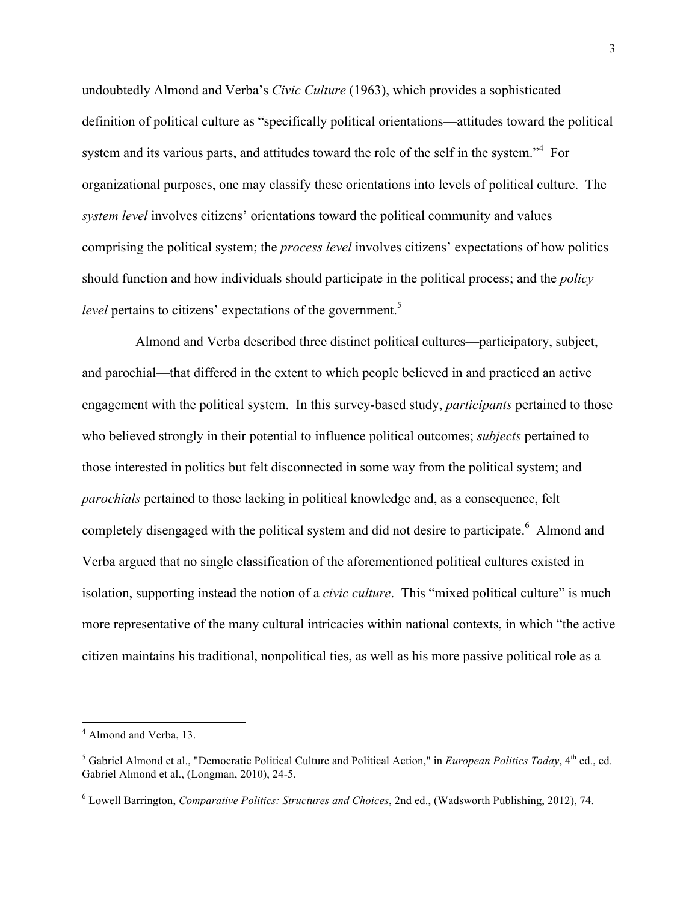undoubtedly Almond and Verba's *Civic Culture* (1963), which provides a sophisticated definition of political culture as "specifically political orientations—attitudes toward the political system and its various parts, and attitudes toward the role of the self in the system."<sup>4</sup> For organizational purposes, one may classify these orientations into levels of political culture. The *system level* involves citizens' orientations toward the political community and values comprising the political system; the *process level* involves citizens' expectations of how politics should function and how individuals should participate in the political process; and the *policy level* pertains to citizens' expectations of the government.<sup>5</sup>

Almond and Verba described three distinct political cultures—participatory, subject, and parochial—that differed in the extent to which people believed in and practiced an active engagement with the political system. In this survey-based study, *participants* pertained to those who believed strongly in their potential to influence political outcomes; *subjects* pertained to those interested in politics but felt disconnected in some way from the political system; and *parochials* pertained to those lacking in political knowledge and, as a consequence, felt completely disengaged with the political system and did not desire to participate.<sup>6</sup> Almond and Verba argued that no single classification of the aforementioned political cultures existed in isolation, supporting instead the notion of a *civic culture*. This "mixed political culture" is much more representative of the many cultural intricacies within national contexts, in which "the active citizen maintains his traditional, nonpolitical ties, as well as his more passive political role as a

<sup>4</sup> Almond and Verba, 13.

<sup>&</sup>lt;sup>5</sup> Gabriel Almond et al., "Democratic Political Culture and Political Action." in *European Politics Today*, 4<sup>th</sup> ed., ed. Gabriel Almond et al., (Longman, 2010), 24-5.

<sup>6</sup> Lowell Barrington, *Comparative Politics: Structures and Choices*, 2nd ed., (Wadsworth Publishing, 2012), 74.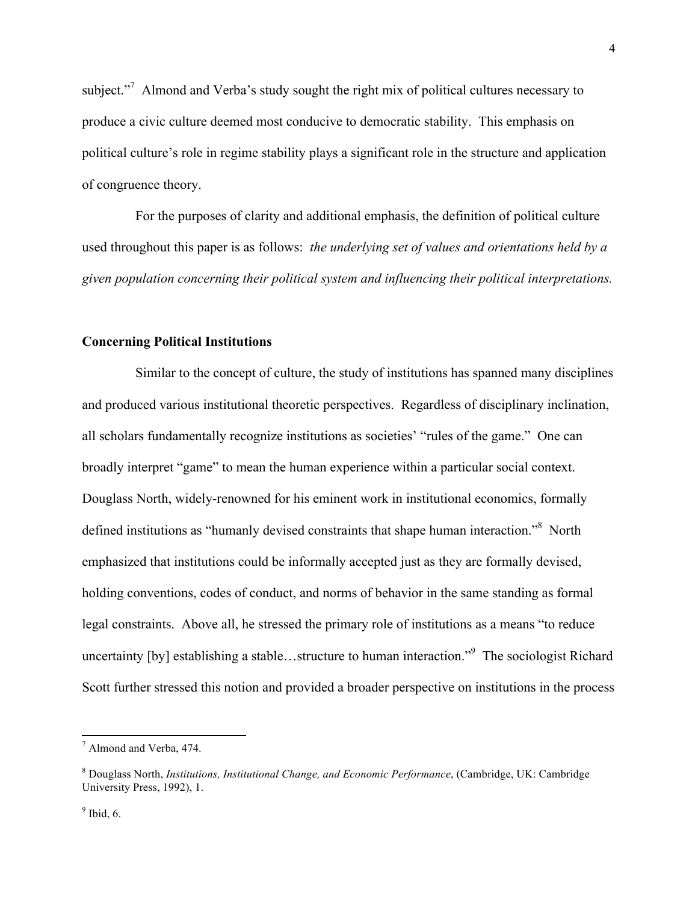subject."<sup>7</sup> Almond and Verba's study sought the right mix of political cultures necessary to produce a civic culture deemed most conducive to democratic stability. This emphasis on political culture's role in regime stability plays a significant role in the structure and application of congruence theory.

For the purposes of clarity and additional emphasis, the definition of political culture used throughout this paper is as follows: *the underlying set of values and orientations held by a given population concerning their political system and influencing their political interpretations.*

### **Concerning Political Institutions**

Similar to the concept of culture, the study of institutions has spanned many disciplines and produced various institutional theoretic perspectives. Regardless of disciplinary inclination, all scholars fundamentally recognize institutions as societies' "rules of the game." One can broadly interpret "game" to mean the human experience within a particular social context. Douglass North, widely-renowned for his eminent work in institutional economics, formally defined institutions as "humanly devised constraints that shape human interaction."<sup>8</sup> North emphasized that institutions could be informally accepted just as they are formally devised, holding conventions, codes of conduct, and norms of behavior in the same standing as formal legal constraints. Above all, he stressed the primary role of institutions as a means "to reduce uncertainty [by] establishing a stable...structure to human interaction."<sup>9</sup> The sociologist Richard Scott further stressed this notion and provided a broader perspective on institutions in the process

<sup>7</sup> Almond and Verba, 474.

<sup>8</sup> Douglass North, *Institutions, Institutional Change, and Economic Performance*, (Cambridge, UK: Cambridge University Press, 1992), 1.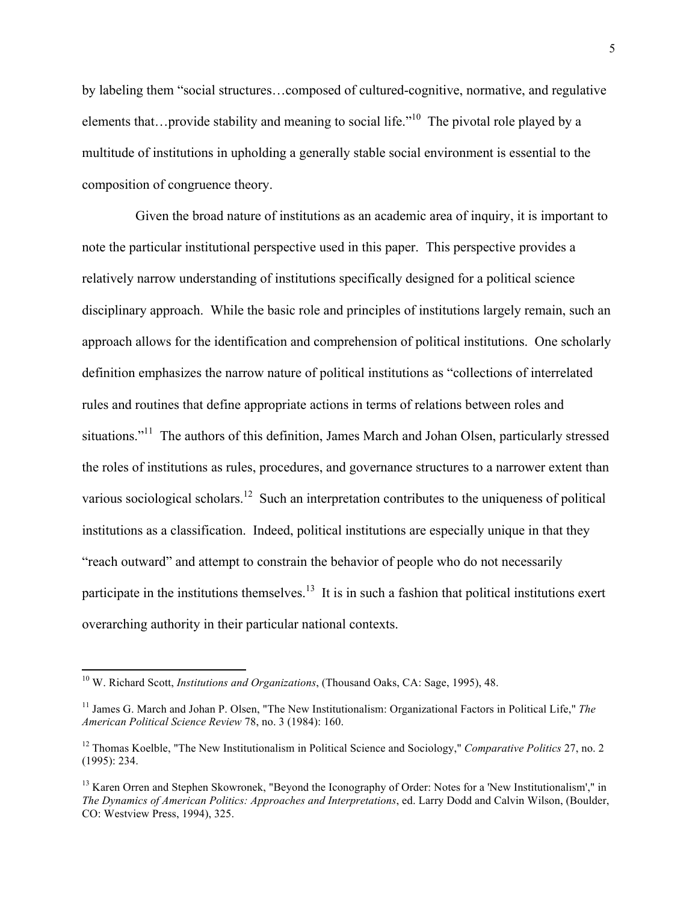by labeling them "social structures…composed of cultured-cognitive, normative, and regulative elements that…provide stability and meaning to social life.<sup> $10$ </sup> The pivotal role played by a multitude of institutions in upholding a generally stable social environment is essential to the composition of congruence theory.

Given the broad nature of institutions as an academic area of inquiry, it is important to note the particular institutional perspective used in this paper. This perspective provides a relatively narrow understanding of institutions specifically designed for a political science disciplinary approach. While the basic role and principles of institutions largely remain, such an approach allows for the identification and comprehension of political institutions. One scholarly definition emphasizes the narrow nature of political institutions as "collections of interrelated rules and routines that define appropriate actions in terms of relations between roles and situations."<sup>11</sup> The authors of this definition, James March and Johan Olsen, particularly stressed the roles of institutions as rules, procedures, and governance structures to a narrower extent than various sociological scholars.<sup>12</sup> Such an interpretation contributes to the uniqueness of political institutions as a classification. Indeed, political institutions are especially unique in that they "reach outward" and attempt to constrain the behavior of people who do not necessarily participate in the institutions themselves.<sup>13</sup> It is in such a fashion that political institutions exert overarching authority in their particular national contexts.

<sup>10</sup> W. Richard Scott, *Institutions and Organizations*, (Thousand Oaks, CA: Sage, 1995), 48.

<sup>11</sup> James G. March and Johan P. Olsen, "The New Institutionalism: Organizational Factors in Political Life," *The American Political Science Review* 78, no. 3 (1984): 160.

<sup>12</sup> Thomas Koelble, "The New Institutionalism in Political Science and Sociology," *Comparative Politics* 27, no. 2 (1995): 234.

<sup>&</sup>lt;sup>13</sup> Karen Orren and Stephen Skowronek, "Beyond the Iconography of Order: Notes for a 'New Institutionalism'," in *The Dynamics of American Politics: Approaches and Interpretations*, ed. Larry Dodd and Calvin Wilson, (Boulder, CO: Westview Press, 1994), 325.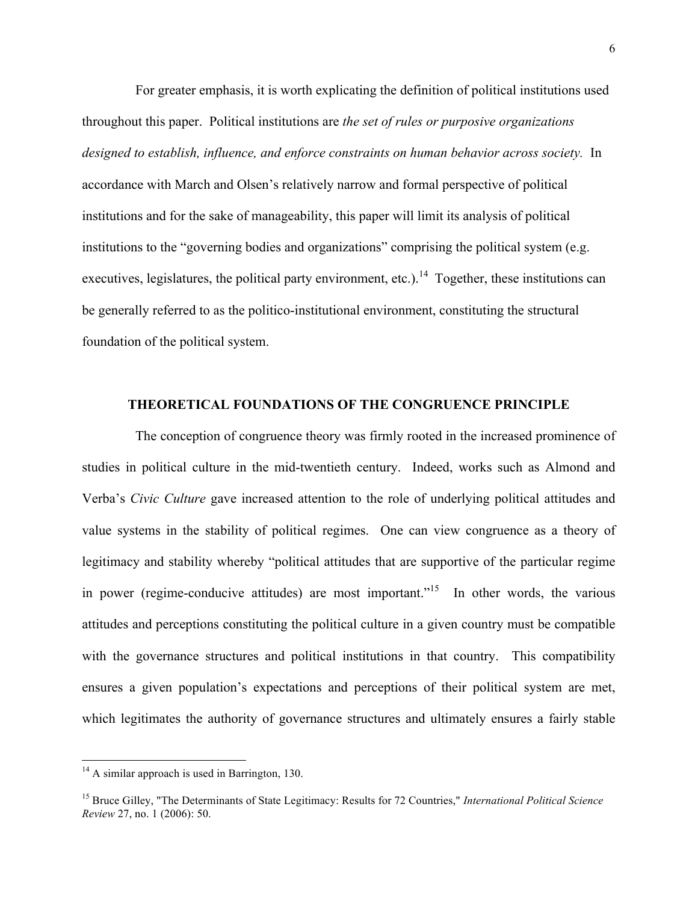For greater emphasis, it is worth explicating the definition of political institutions used throughout this paper. Political institutions are *the set of rules or purposive organizations designed to establish, influence, and enforce constraints on human behavior across society.* In accordance with March and Olsen's relatively narrow and formal perspective of political institutions and for the sake of manageability, this paper will limit its analysis of political institutions to the "governing bodies and organizations" comprising the political system (e.g. executives, legislatures, the political party environment, etc.).<sup>14</sup> Together, these institutions can be generally referred to as the politico-institutional environment, constituting the structural foundation of the political system.

## **THEORETICAL FOUNDATIONS OF THE CONGRUENCE PRINCIPLE**

The conception of congruence theory was firmly rooted in the increased prominence of studies in political culture in the mid-twentieth century. Indeed, works such as Almond and Verba's *Civic Culture* gave increased attention to the role of underlying political attitudes and value systems in the stability of political regimes. One can view congruence as a theory of legitimacy and stability whereby "political attitudes that are supportive of the particular regime in power (regime-conducive attitudes) are most important.<sup> $15$ </sup> In other words, the various attitudes and perceptions constituting the political culture in a given country must be compatible with the governance structures and political institutions in that country. This compatibility ensures a given population's expectations and perceptions of their political system are met, which legitimates the authority of governance structures and ultimately ensures a fairly stable

 $14$  A similar approach is used in Barrington, 130.

<sup>15</sup> Bruce Gilley, "The Determinants of State Legitimacy: Results for 72 Countries," *International Political Science Review* 27, no. 1 (2006): 50.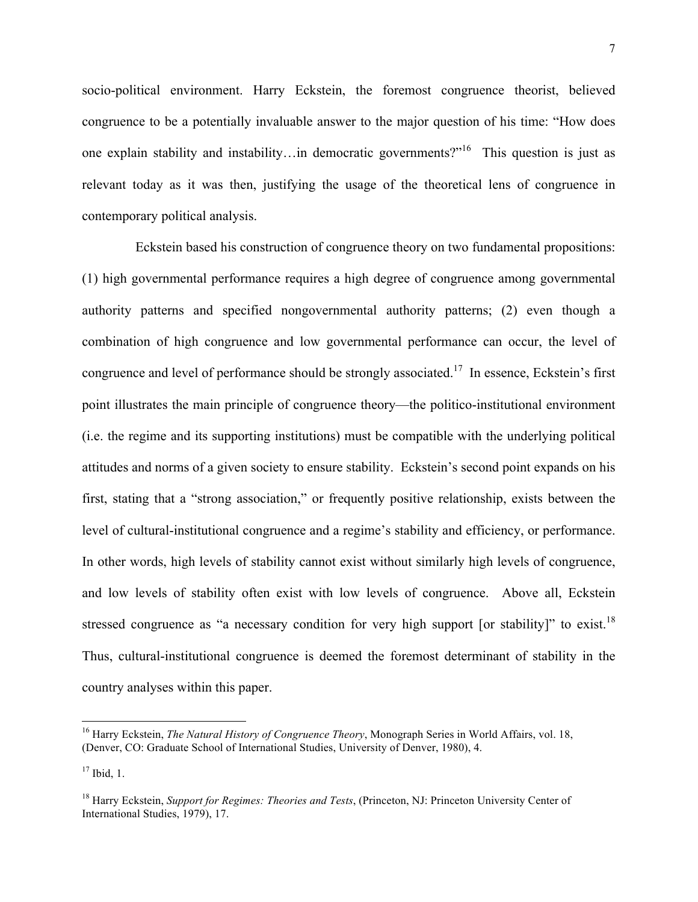socio-political environment. Harry Eckstein, the foremost congruence theorist, believed congruence to be a potentially invaluable answer to the major question of his time: "How does one explain stability and instability…in democratic governments?"16 This question is just as relevant today as it was then, justifying the usage of the theoretical lens of congruence in contemporary political analysis.

Eckstein based his construction of congruence theory on two fundamental propositions: (1) high governmental performance requires a high degree of congruence among governmental authority patterns and specified nongovernmental authority patterns; (2) even though a combination of high congruence and low governmental performance can occur, the level of congruence and level of performance should be strongly associated.17 In essence, Eckstein's first point illustrates the main principle of congruence theory—the politico-institutional environment (i.e. the regime and its supporting institutions) must be compatible with the underlying political attitudes and norms of a given society to ensure stability. Eckstein's second point expands on his first, stating that a "strong association," or frequently positive relationship, exists between the level of cultural-institutional congruence and a regime's stability and efficiency, or performance. In other words, high levels of stability cannot exist without similarly high levels of congruence, and low levels of stability often exist with low levels of congruence. Above all, Eckstein stressed congruence as "a necessary condition for very high support [or stability]" to exist.<sup>18</sup> Thus, cultural-institutional congruence is deemed the foremost determinant of stability in the country analyses within this paper.

<sup>16</sup> Harry Eckstein, *The Natural History of Congruence Theory*, Monograph Series in World Affairs, vol. 18, (Denver, CO: Graduate School of International Studies, University of Denver, 1980), 4.

 $17$  Ibid, 1.

<sup>18</sup> Harry Eckstein, *Support for Regimes: Theories and Tests*, (Princeton, NJ: Princeton University Center of International Studies, 1979), 17.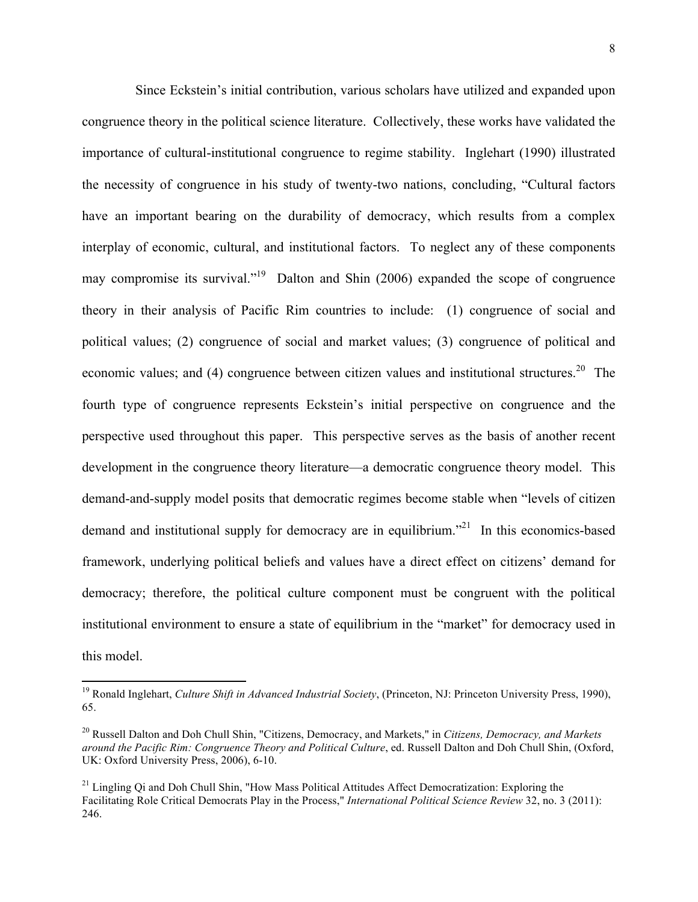Since Eckstein's initial contribution, various scholars have utilized and expanded upon congruence theory in the political science literature. Collectively, these works have validated the importance of cultural-institutional congruence to regime stability. Inglehart (1990) illustrated the necessity of congruence in his study of twenty-two nations, concluding, "Cultural factors have an important bearing on the durability of democracy, which results from a complex interplay of economic, cultural, and institutional factors. To neglect any of these components may compromise its survival."<sup>19</sup> Dalton and Shin (2006) expanded the scope of congruence theory in their analysis of Pacific Rim countries to include: (1) congruence of social and political values; (2) congruence of social and market values; (3) congruence of political and economic values; and  $(4)$  congruence between citizen values and institutional structures.<sup>20</sup> The fourth type of congruence represents Eckstein's initial perspective on congruence and the perspective used throughout this paper. This perspective serves as the basis of another recent development in the congruence theory literature—a democratic congruence theory model. This demand-and-supply model posits that democratic regimes become stable when "levels of citizen demand and institutional supply for democracy are in equilibrium.<sup>"21</sup> In this economics-based framework, underlying political beliefs and values have a direct effect on citizens' demand for democracy; therefore, the political culture component must be congruent with the political institutional environment to ensure a state of equilibrium in the "market" for democracy used in this model.

<sup>19</sup> Ronald Inglehart, *Culture Shift in Advanced Industrial Society*, (Princeton, NJ: Princeton University Press, 1990), 65.

<sup>20</sup> Russell Dalton and Doh Chull Shin, "Citizens, Democracy, and Markets," in *Citizens, Democracy, and Markets around the Pacific Rim: Congruence Theory and Political Culture*, ed. Russell Dalton and Doh Chull Shin, (Oxford, UK: Oxford University Press, 2006), 6-10.

 $^{21}$  Lingling Qi and Doh Chull Shin, "How Mass Political Attitudes Affect Democratization: Exploring the Facilitating Role Critical Democrats Play in the Process," *International Political Science Review* 32, no. 3 (2011): 246.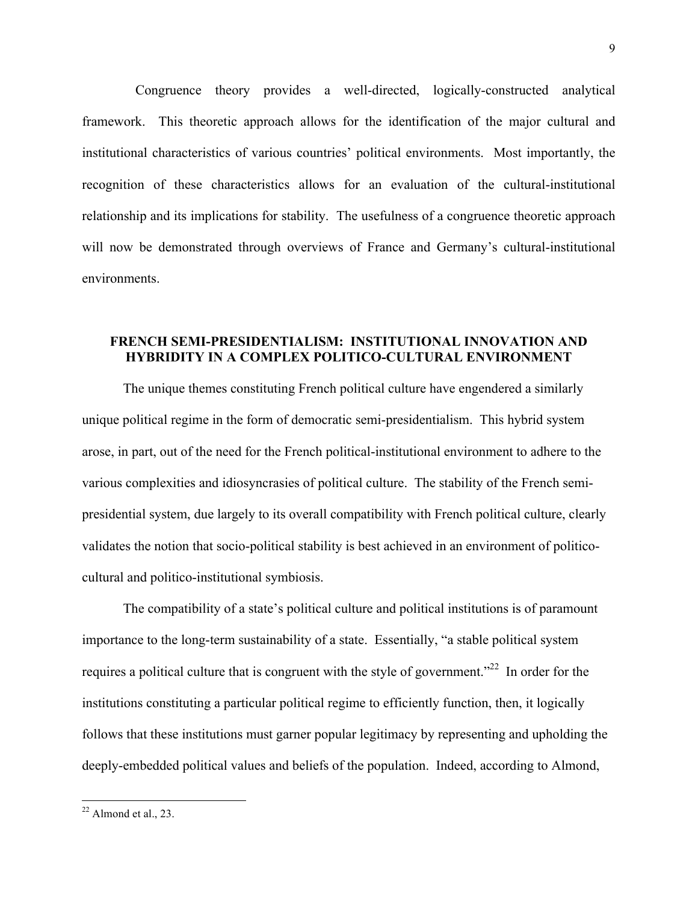Congruence theory provides a well-directed, logically-constructed analytical framework. This theoretic approach allows for the identification of the major cultural and institutional characteristics of various countries' political environments. Most importantly, the recognition of these characteristics allows for an evaluation of the cultural-institutional relationship and its implications for stability. The usefulness of a congruence theoretic approach will now be demonstrated through overviews of France and Germany's cultural-institutional environments.

## **FRENCH SEMI-PRESIDENTIALISM: INSTITUTIONAL INNOVATION AND HYBRIDITY IN A COMPLEX POLITICO-CULTURAL ENVIRONMENT**

The unique themes constituting French political culture have engendered a similarly unique political regime in the form of democratic semi-presidentialism. This hybrid system arose, in part, out of the need for the French political-institutional environment to adhere to the various complexities and idiosyncrasies of political culture. The stability of the French semipresidential system, due largely to its overall compatibility with French political culture, clearly validates the notion that socio-political stability is best achieved in an environment of politicocultural and politico-institutional symbiosis.

The compatibility of a state's political culture and political institutions is of paramount importance to the long-term sustainability of a state. Essentially, "a stable political system requires a political culture that is congruent with the style of government."<sup>22</sup> In order for the institutions constituting a particular political regime to efficiently function, then, it logically follows that these institutions must garner popular legitimacy by representing and upholding the deeply-embedded political values and beliefs of the population. Indeed, according to Almond,

 $22$  Almond et al., 23.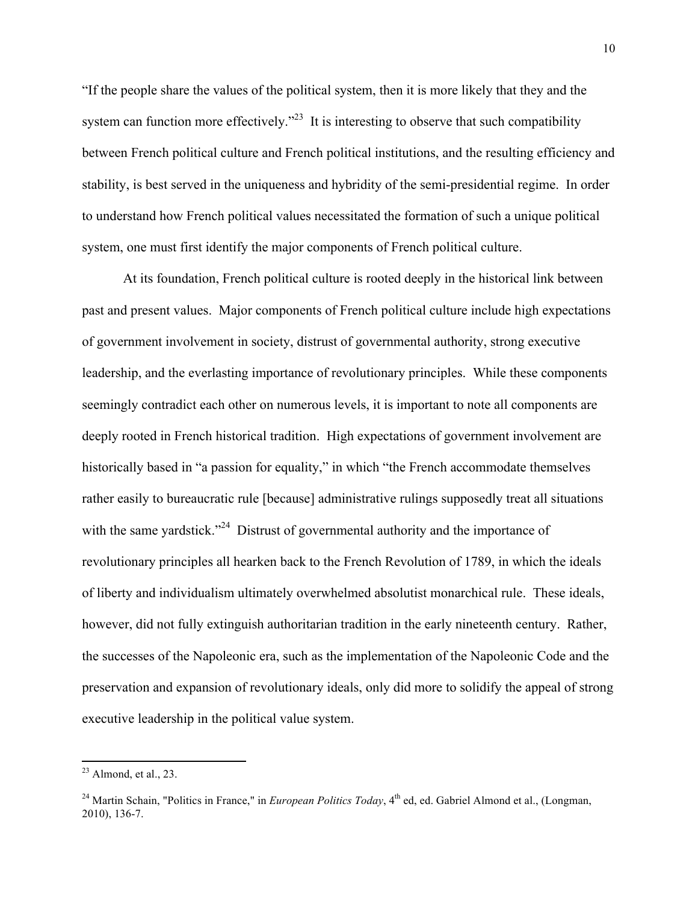"If the people share the values of the political system, then it is more likely that they and the system can function more effectively.<sup> $23$ </sup> It is interesting to observe that such compatibility between French political culture and French political institutions, and the resulting efficiency and stability, is best served in the uniqueness and hybridity of the semi-presidential regime. In order to understand how French political values necessitated the formation of such a unique political system, one must first identify the major components of French political culture.

At its foundation, French political culture is rooted deeply in the historical link between past and present values. Major components of French political culture include high expectations of government involvement in society, distrust of governmental authority, strong executive leadership, and the everlasting importance of revolutionary principles. While these components seemingly contradict each other on numerous levels, it is important to note all components are deeply rooted in French historical tradition. High expectations of government involvement are historically based in "a passion for equality," in which "the French accommodate themselves rather easily to bureaucratic rule [because] administrative rulings supposedly treat all situations with the same yardstick."<sup>24</sup> Distrust of governmental authority and the importance of revolutionary principles all hearken back to the French Revolution of 1789, in which the ideals of liberty and individualism ultimately overwhelmed absolutist monarchical rule. These ideals, however, did not fully extinguish authoritarian tradition in the early nineteenth century. Rather, the successes of the Napoleonic era, such as the implementation of the Napoleonic Code and the preservation and expansion of revolutionary ideals, only did more to solidify the appeal of strong executive leadership in the political value system.

 $23$  Almond, et al., 23.

<sup>&</sup>lt;sup>24</sup> Martin Schain, "Politics in France," in *European Politics Today*, 4<sup>th</sup> ed, ed. Gabriel Almond et al., (Longman, 2010), 136-7.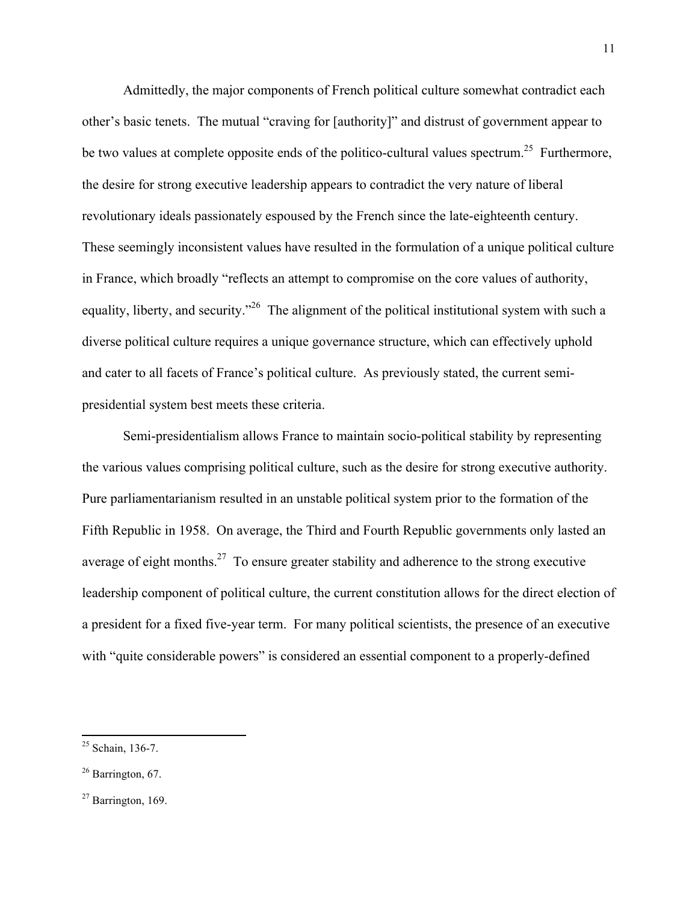Admittedly, the major components of French political culture somewhat contradict each other's basic tenets. The mutual "craving for [authority]" and distrust of government appear to be two values at complete opposite ends of the politico-cultural values spectrum.<sup>25</sup> Furthermore, the desire for strong executive leadership appears to contradict the very nature of liberal revolutionary ideals passionately espoused by the French since the late-eighteenth century. These seemingly inconsistent values have resulted in the formulation of a unique political culture in France, which broadly "reflects an attempt to compromise on the core values of authority, equality, liberty, and security."<sup>26</sup> The alignment of the political institutional system with such a diverse political culture requires a unique governance structure, which can effectively uphold and cater to all facets of France's political culture. As previously stated, the current semipresidential system best meets these criteria.

Semi-presidentialism allows France to maintain socio-political stability by representing the various values comprising political culture, such as the desire for strong executive authority. Pure parliamentarianism resulted in an unstable political system prior to the formation of the Fifth Republic in 1958. On average, the Third and Fourth Republic governments only lasted an average of eight months.<sup>27</sup> To ensure greater stability and adherence to the strong executive leadership component of political culture, the current constitution allows for the direct election of a president for a fixed five-year term. For many political scientists, the presence of an executive with "quite considerable powers" is considered an essential component to a properly-defined

<sup>25</sup> Schain, 136-7.

<sup>&</sup>lt;sup>26</sup> Barrington, 67.

 $27$  Barrington, 169.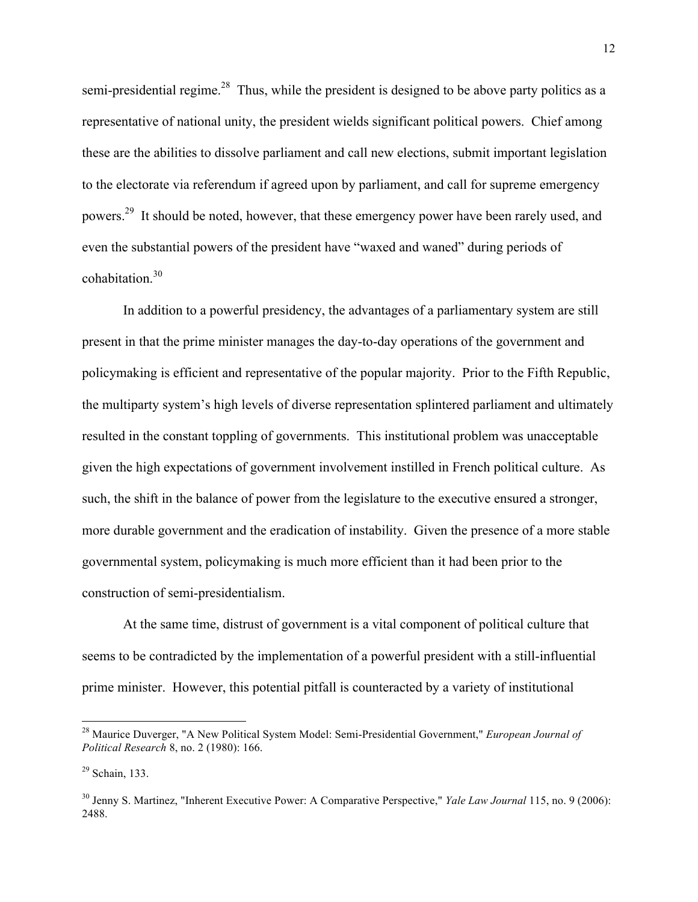semi-presidential regime.<sup>28</sup> Thus, while the president is designed to be above party politics as a representative of national unity, the president wields significant political powers. Chief among these are the abilities to dissolve parliament and call new elections, submit important legislation to the electorate via referendum if agreed upon by parliament, and call for supreme emergency powers.29 It should be noted, however, that these emergency power have been rarely used, and even the substantial powers of the president have "waxed and waned" during periods of cohabitation.<sup>30</sup>

In addition to a powerful presidency, the advantages of a parliamentary system are still present in that the prime minister manages the day-to-day operations of the government and policymaking is efficient and representative of the popular majority. Prior to the Fifth Republic, the multiparty system's high levels of diverse representation splintered parliament and ultimately resulted in the constant toppling of governments. This institutional problem was unacceptable given the high expectations of government involvement instilled in French political culture. As such, the shift in the balance of power from the legislature to the executive ensured a stronger, more durable government and the eradication of instability. Given the presence of a more stable governmental system, policymaking is much more efficient than it had been prior to the construction of semi-presidentialism.

At the same time, distrust of government is a vital component of political culture that seems to be contradicted by the implementation of a powerful president with a still-influential prime minister. However, this potential pitfall is counteracted by a variety of institutional

<sup>28</sup> Maurice Duverger, "A New Political System Model: Semi-Presidential Government," *European Journal of Political Research* 8, no. 2 (1980): 166.

 $29$  Schain, 133.

<sup>30</sup> Jenny S. Martinez, "Inherent Executive Power: A Comparative Perspective," *Yale Law Journal* 115, no. 9 (2006): 2488.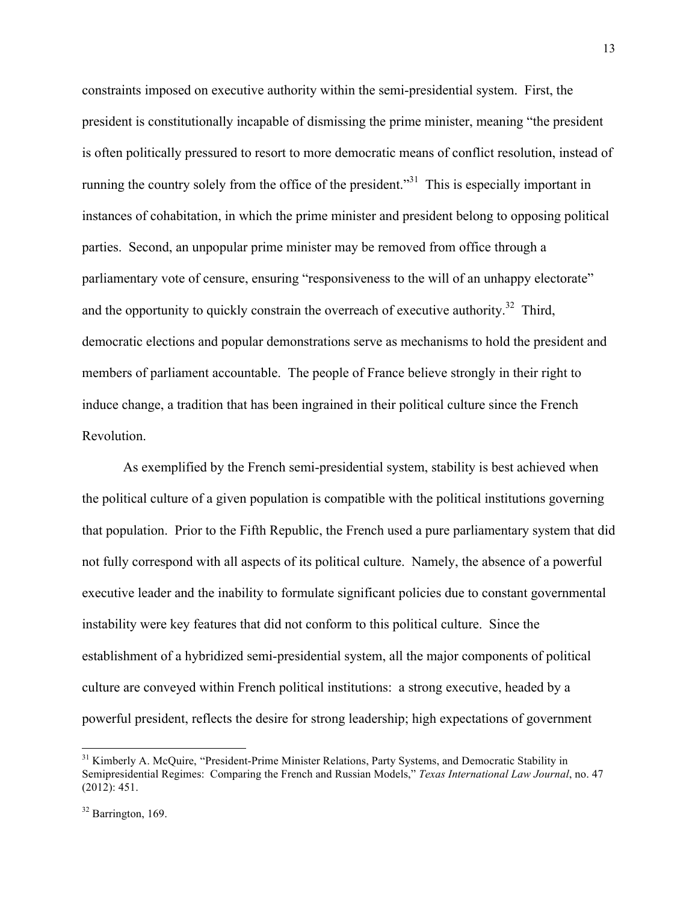constraints imposed on executive authority within the semi-presidential system. First, the president is constitutionally incapable of dismissing the prime minister, meaning "the president is often politically pressured to resort to more democratic means of conflict resolution, instead of running the country solely from the office of the president."31 This is especially important in instances of cohabitation, in which the prime minister and president belong to opposing political parties. Second, an unpopular prime minister may be removed from office through a parliamentary vote of censure, ensuring "responsiveness to the will of an unhappy electorate" and the opportunity to quickly constrain the overreach of executive authority.<sup>32</sup> Third, democratic elections and popular demonstrations serve as mechanisms to hold the president and members of parliament accountable. The people of France believe strongly in their right to induce change, a tradition that has been ingrained in their political culture since the French Revolution.

As exemplified by the French semi-presidential system, stability is best achieved when the political culture of a given population is compatible with the political institutions governing that population. Prior to the Fifth Republic, the French used a pure parliamentary system that did not fully correspond with all aspects of its political culture. Namely, the absence of a powerful executive leader and the inability to formulate significant policies due to constant governmental instability were key features that did not conform to this political culture. Since the establishment of a hybridized semi-presidential system, all the major components of political culture are conveyed within French political institutions: a strong executive, headed by a powerful president, reflects the desire for strong leadership; high expectations of government

<sup>&</sup>lt;sup>31</sup> Kimberly A. McQuire, "President-Prime Minister Relations, Party Systems, and Democratic Stability in Semipresidential Regimes: Comparing the French and Russian Models," *Texas International Law Journal*, no. 47 (2012): 451.

 $32$  Barrington, 169.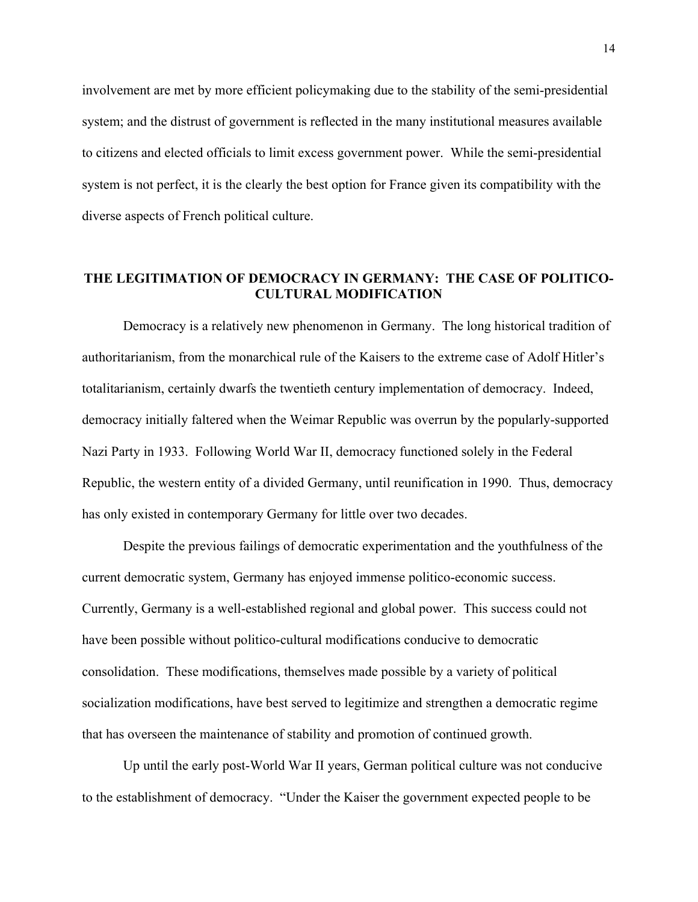involvement are met by more efficient policymaking due to the stability of the semi-presidential system; and the distrust of government is reflected in the many institutional measures available to citizens and elected officials to limit excess government power. While the semi-presidential system is not perfect, it is the clearly the best option for France given its compatibility with the diverse aspects of French political culture.

## **THE LEGITIMATION OF DEMOCRACY IN GERMANY: THE CASE OF POLITICO-CULTURAL MODIFICATION**

Democracy is a relatively new phenomenon in Germany. The long historical tradition of authoritarianism, from the monarchical rule of the Kaisers to the extreme case of Adolf Hitler's totalitarianism, certainly dwarfs the twentieth century implementation of democracy. Indeed, democracy initially faltered when the Weimar Republic was overrun by the popularly-supported Nazi Party in 1933. Following World War II, democracy functioned solely in the Federal Republic, the western entity of a divided Germany, until reunification in 1990. Thus, democracy has only existed in contemporary Germany for little over two decades.

Despite the previous failings of democratic experimentation and the youthfulness of the current democratic system, Germany has enjoyed immense politico-economic success. Currently, Germany is a well-established regional and global power. This success could not have been possible without politico-cultural modifications conducive to democratic consolidation. These modifications, themselves made possible by a variety of political socialization modifications, have best served to legitimize and strengthen a democratic regime that has overseen the maintenance of stability and promotion of continued growth.

Up until the early post-World War II years, German political culture was not conducive to the establishment of democracy. "Under the Kaiser the government expected people to be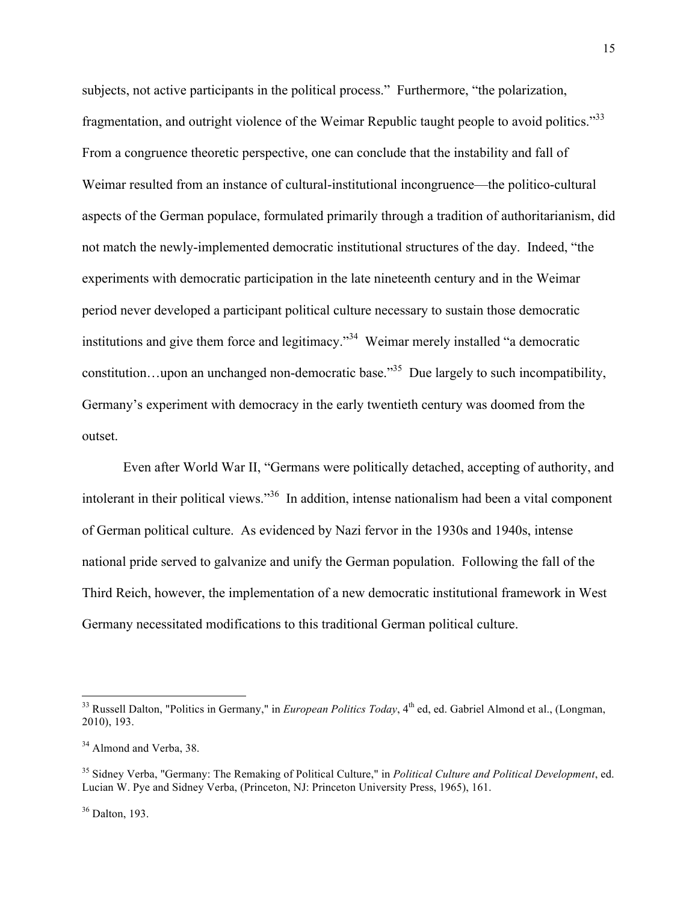subjects, not active participants in the political process." Furthermore, "the polarization, fragmentation, and outright violence of the Weimar Republic taught people to avoid politics."33 From a congruence theoretic perspective, one can conclude that the instability and fall of Weimar resulted from an instance of cultural-institutional incongruence—the politico-cultural aspects of the German populace, formulated primarily through a tradition of authoritarianism, did not match the newly-implemented democratic institutional structures of the day. Indeed, "the experiments with democratic participation in the late nineteenth century and in the Weimar period never developed a participant political culture necessary to sustain those democratic institutions and give them force and legitimacy.<sup>34</sup> Weimar merely installed "a democratic constitution...upon an unchanged non-democratic base.<sup>35</sup> Due largely to such incompatibility, Germany's experiment with democracy in the early twentieth century was doomed from the outset.

Even after World War II, "Germans were politically detached, accepting of authority, and intolerant in their political views."36 In addition, intense nationalism had been a vital component of German political culture. As evidenced by Nazi fervor in the 1930s and 1940s, intense national pride served to galvanize and unify the German population. Following the fall of the Third Reich, however, the implementation of a new democratic institutional framework in West Germany necessitated modifications to this traditional German political culture.

<sup>&</sup>lt;sup>33</sup> Russell Dalton, "Politics in Germany," in *European Politics Today*, 4<sup>th</sup> ed, ed. Gabriel Almond et al., (Longman, 2010), 193.

<sup>&</sup>lt;sup>34</sup> Almond and Verba, 38.

<sup>35</sup> Sidney Verba, "Germany: The Remaking of Political Culture," in *Political Culture and Political Development*, ed. Lucian W. Pye and Sidney Verba, (Princeton, NJ: Princeton University Press, 1965), 161.

 $36$  Dalton, 193.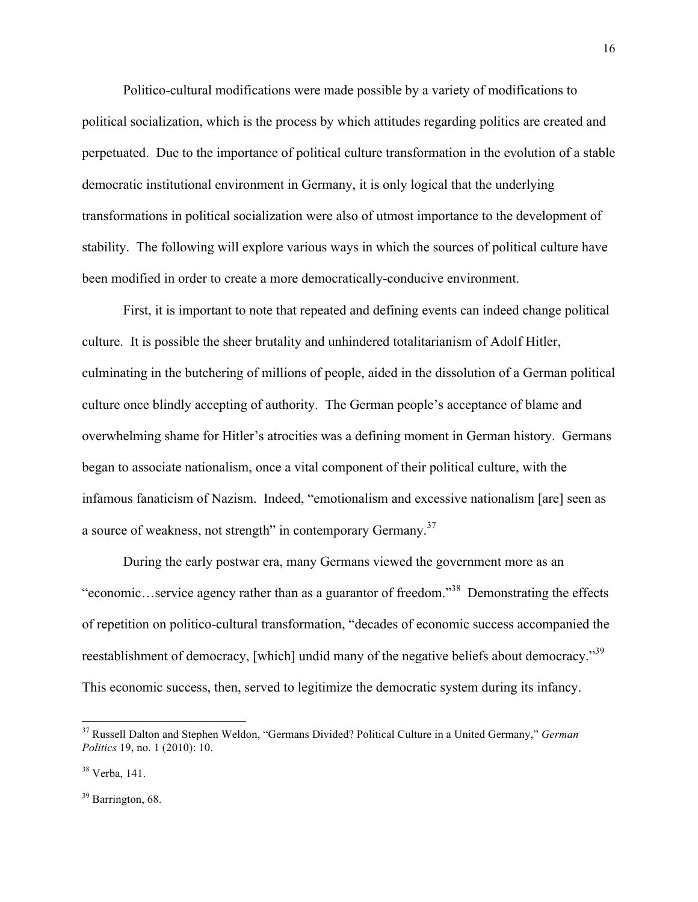Politico-cultural modifications were made possible by a variety of modifications to political socialization, which is the process by which attitudes regarding politics are created and perpetuated. Due to the importance of political culture transformation in the evolution of a stable democratic institutional environment in Germany, it is only logical that the underlying transformations in political socialization were also of utmost importance to the development of stability. The following will explore various ways in which the sources of political culture have been modified in order to create a more democratically-conducive environment.

First, it is important to note that repeated and defining events can indeed change political culture. It is possible the sheer brutality and unhindered totalitarianism of Adolf Hitler, culminating in the butchering of millions of people, aided in the dissolution of a German political culture once blindly accepting of authority. The German people's acceptance of blame and overwhelming shame for Hitler's atrocities was a defining moment in German history. Germans began to associate nationalism, once a vital component of their political culture, with the infamous fanaticism of Nazism. Indeed, "emotionalism and excessive nationalism [are] seen as a source of weakness, not strength" in contemporary Germany.<sup>37</sup>

During the early postwar era, many Germans viewed the government more as an "economic…service agency rather than as a guarantor of freedom."38 Demonstrating the effects of repetition on politico-cultural transformation, "decades of economic success accompanied the reestablishment of democracy, [which] undid many of the negative beliefs about democracy."<sup>39</sup> This economic success, then, served to legitimize the democratic system during its infancy.

<sup>39</sup> Barrington, 68.

<sup>37</sup> Russell Dalton and Stephen Weldon, "Germans Divided? Political Culture in a United Germany," *German Politics* 19, no. 1 (2010): 10.

 $38$  Verba, 141.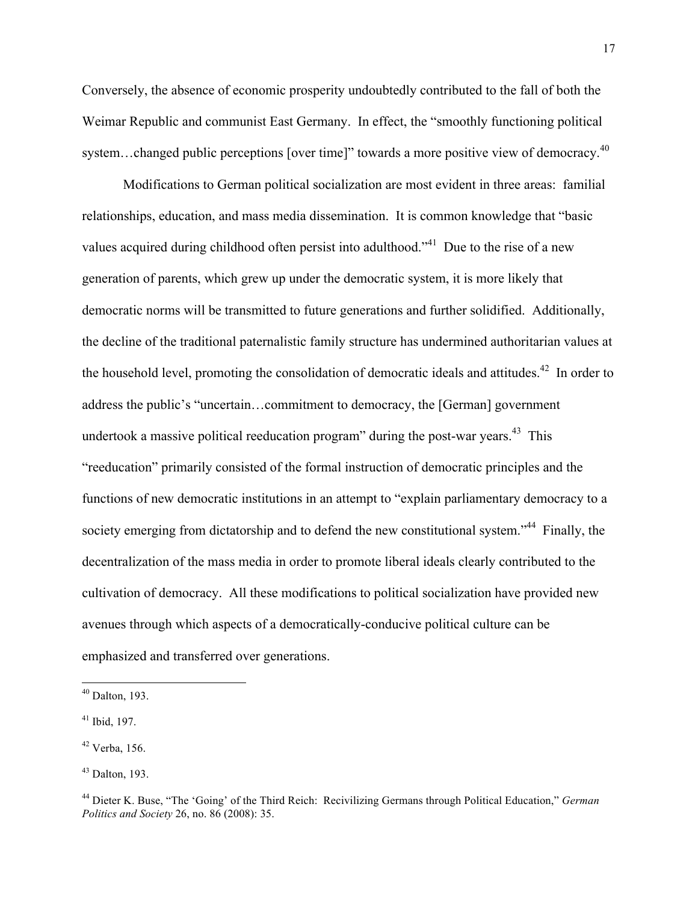Conversely, the absence of economic prosperity undoubtedly contributed to the fall of both the Weimar Republic and communist East Germany. In effect, the "smoothly functioning political system...changed public perceptions [over time]" towards a more positive view of democracy.<sup>40</sup>

Modifications to German political socialization are most evident in three areas: familial relationships, education, and mass media dissemination. It is common knowledge that "basic values acquired during childhood often persist into adulthood.<sup>341</sup> Due to the rise of a new generation of parents, which grew up under the democratic system, it is more likely that democratic norms will be transmitted to future generations and further solidified. Additionally, the decline of the traditional paternalistic family structure has undermined authoritarian values at the household level, promoting the consolidation of democratic ideals and attitudes.<sup>42</sup> In order to address the public's "uncertain…commitment to democracy, the [German] government undertook a massive political reeducation program" during the post-war years.<sup>43</sup> This "reeducation" primarily consisted of the formal instruction of democratic principles and the functions of new democratic institutions in an attempt to "explain parliamentary democracy to a society emerging from dictatorship and to defend the new constitutional system."<sup>44</sup> Finally, the decentralization of the mass media in order to promote liberal ideals clearly contributed to the cultivation of democracy. All these modifications to political socialization have provided new avenues through which aspects of a democratically-conducive political culture can be emphasized and transferred over generations.

 $40$  Dalton, 193.

 $41$  Ibid, 197.

 $42$  Verba, 156.

 $43$  Dalton, 193.

<sup>44</sup> Dieter K. Buse, "The 'Going' of the Third Reich: Recivilizing Germans through Political Education," *German Politics and Society* 26, no. 86 (2008): 35.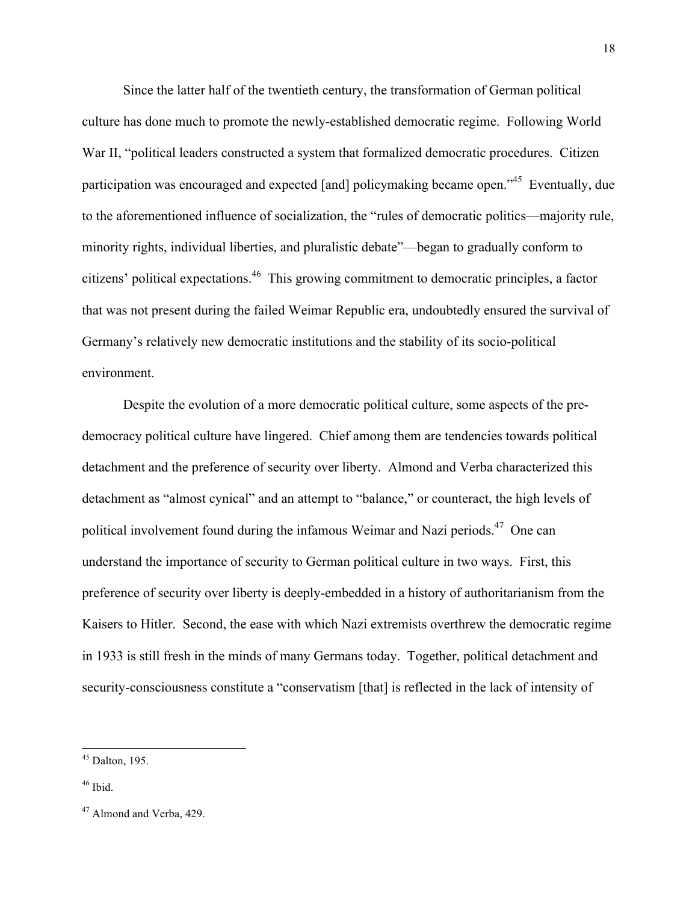Since the latter half of the twentieth century, the transformation of German political culture has done much to promote the newly-established democratic regime. Following World War II, "political leaders constructed a system that formalized democratic procedures. Citizen participation was encouraged and expected [and] policymaking became open."<sup>45</sup> Eventually, due to the aforementioned influence of socialization, the "rules of democratic politics—majority rule, minority rights, individual liberties, and pluralistic debate"—began to gradually conform to citizens' political expectations.46 This growing commitment to democratic principles, a factor that was not present during the failed Weimar Republic era, undoubtedly ensured the survival of Germany's relatively new democratic institutions and the stability of its socio-political environment.

Despite the evolution of a more democratic political culture, some aspects of the predemocracy political culture have lingered. Chief among them are tendencies towards political detachment and the preference of security over liberty. Almond and Verba characterized this detachment as "almost cynical" and an attempt to "balance," or counteract, the high levels of political involvement found during the infamous Weimar and Nazi periods.<sup>47</sup> One can understand the importance of security to German political culture in two ways. First, this preference of security over liberty is deeply-embedded in a history of authoritarianism from the Kaisers to Hitler. Second, the ease with which Nazi extremists overthrew the democratic regime in 1933 is still fresh in the minds of many Germans today. Together, political detachment and security-consciousness constitute a "conservatism [that] is reflected in the lack of intensity of

 $45$  Dalton, 195.

 $46$  Ibid.

<sup>&</sup>lt;sup>47</sup> Almond and Verba, 429.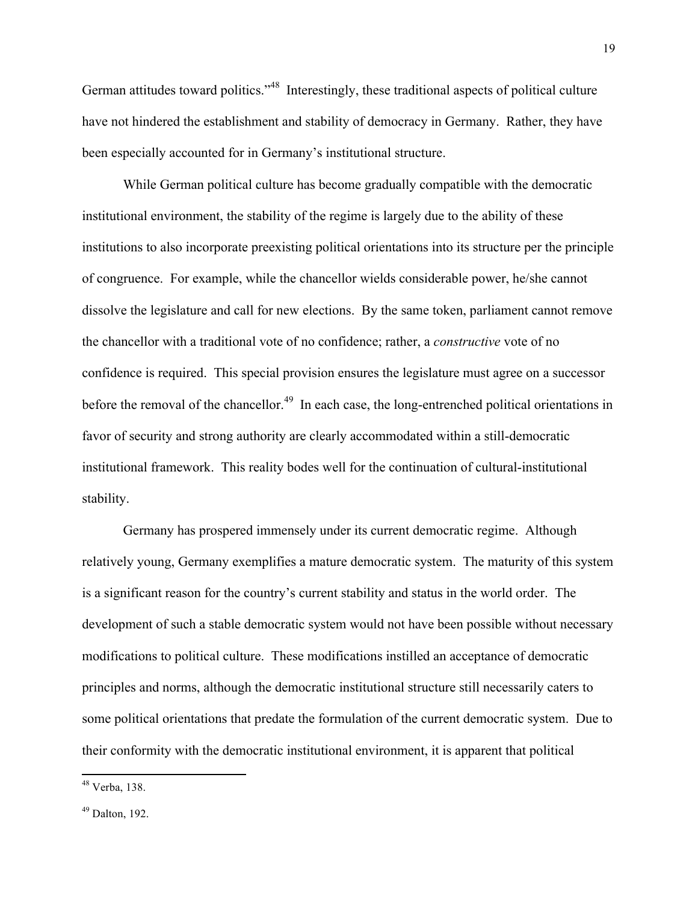German attitudes toward politics."<sup>48</sup> Interestingly, these traditional aspects of political culture have not hindered the establishment and stability of democracy in Germany. Rather, they have been especially accounted for in Germany's institutional structure.

While German political culture has become gradually compatible with the democratic institutional environment, the stability of the regime is largely due to the ability of these institutions to also incorporate preexisting political orientations into its structure per the principle of congruence. For example, while the chancellor wields considerable power, he/she cannot dissolve the legislature and call for new elections. By the same token, parliament cannot remove the chancellor with a traditional vote of no confidence; rather, a *constructive* vote of no confidence is required. This special provision ensures the legislature must agree on a successor before the removal of the chancellor.<sup>49</sup> In each case, the long-entrenched political orientations in favor of security and strong authority are clearly accommodated within a still-democratic institutional framework. This reality bodes well for the continuation of cultural-institutional stability.

Germany has prospered immensely under its current democratic regime. Although relatively young, Germany exemplifies a mature democratic system. The maturity of this system is a significant reason for the country's current stability and status in the world order. The development of such a stable democratic system would not have been possible without necessary modifications to political culture. These modifications instilled an acceptance of democratic principles and norms, although the democratic institutional structure still necessarily caters to some political orientations that predate the formulation of the current democratic system. Due to their conformity with the democratic institutional environment, it is apparent that political

<sup>48</sup> Verba, 138.

 $49$  Dalton, 192.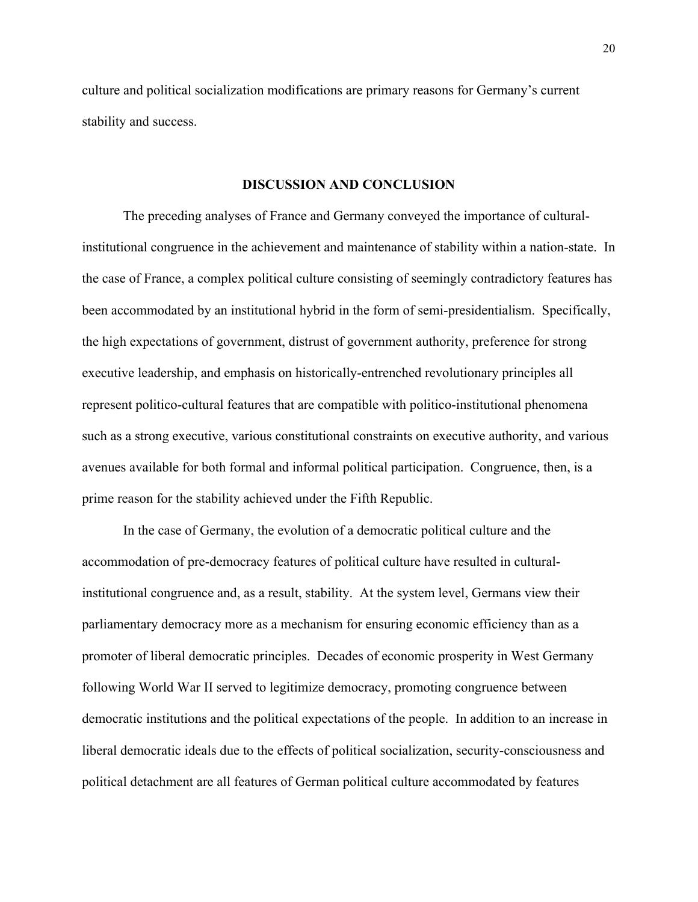culture and political socialization modifications are primary reasons for Germany's current stability and success.

#### **DISCUSSION AND CONCLUSION**

The preceding analyses of France and Germany conveyed the importance of culturalinstitutional congruence in the achievement and maintenance of stability within a nation-state. In the case of France, a complex political culture consisting of seemingly contradictory features has been accommodated by an institutional hybrid in the form of semi-presidentialism. Specifically, the high expectations of government, distrust of government authority, preference for strong executive leadership, and emphasis on historically-entrenched revolutionary principles all represent politico-cultural features that are compatible with politico-institutional phenomena such as a strong executive, various constitutional constraints on executive authority, and various avenues available for both formal and informal political participation. Congruence, then, is a prime reason for the stability achieved under the Fifth Republic.

In the case of Germany, the evolution of a democratic political culture and the accommodation of pre-democracy features of political culture have resulted in culturalinstitutional congruence and, as a result, stability. At the system level, Germans view their parliamentary democracy more as a mechanism for ensuring economic efficiency than as a promoter of liberal democratic principles. Decades of economic prosperity in West Germany following World War II served to legitimize democracy, promoting congruence between democratic institutions and the political expectations of the people. In addition to an increase in liberal democratic ideals due to the effects of political socialization, security-consciousness and political detachment are all features of German political culture accommodated by features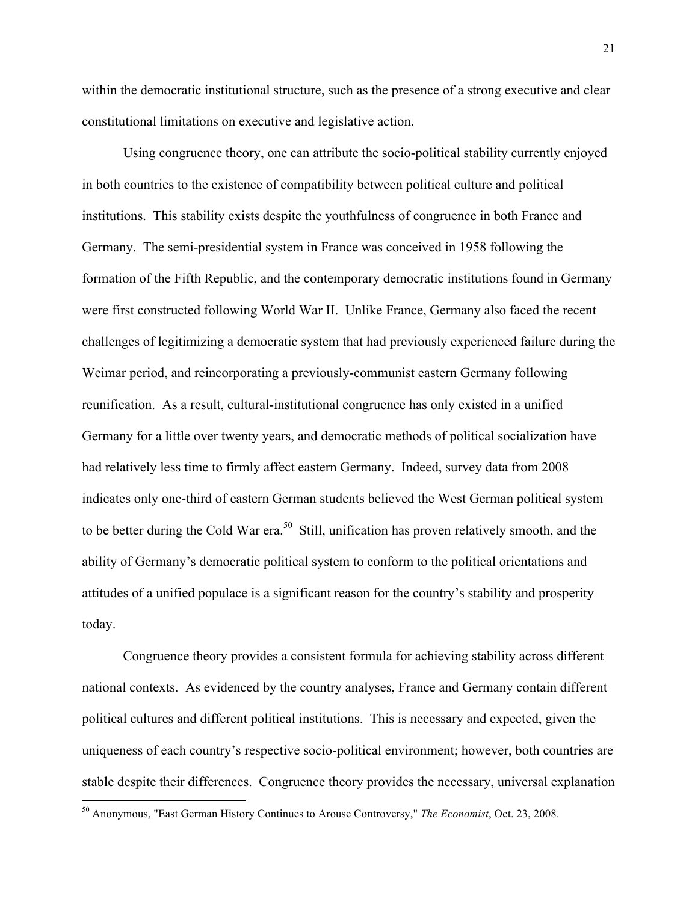within the democratic institutional structure, such as the presence of a strong executive and clear constitutional limitations on executive and legislative action.

Using congruence theory, one can attribute the socio-political stability currently enjoyed in both countries to the existence of compatibility between political culture and political institutions. This stability exists despite the youthfulness of congruence in both France and Germany. The semi-presidential system in France was conceived in 1958 following the formation of the Fifth Republic, and the contemporary democratic institutions found in Germany were first constructed following World War II. Unlike France, Germany also faced the recent challenges of legitimizing a democratic system that had previously experienced failure during the Weimar period, and reincorporating a previously-communist eastern Germany following reunification. As a result, cultural-institutional congruence has only existed in a unified Germany for a little over twenty years, and democratic methods of political socialization have had relatively less time to firmly affect eastern Germany. Indeed, survey data from 2008 indicates only one-third of eastern German students believed the West German political system to be better during the Cold War era.<sup>50</sup> Still, unification has proven relatively smooth, and the ability of Germany's democratic political system to conform to the political orientations and attitudes of a unified populace is a significant reason for the country's stability and prosperity today.

Congruence theory provides a consistent formula for achieving stability across different national contexts. As evidenced by the country analyses, France and Germany contain different political cultures and different political institutions. This is necessary and expected, given the uniqueness of each country's respective socio-political environment; however, both countries are stable despite their differences. Congruence theory provides the necessary, universal explanation

<sup>50</sup> Anonymous, "East German History Continues to Arouse Controversy," *The Economist*, Oct. 23, 2008.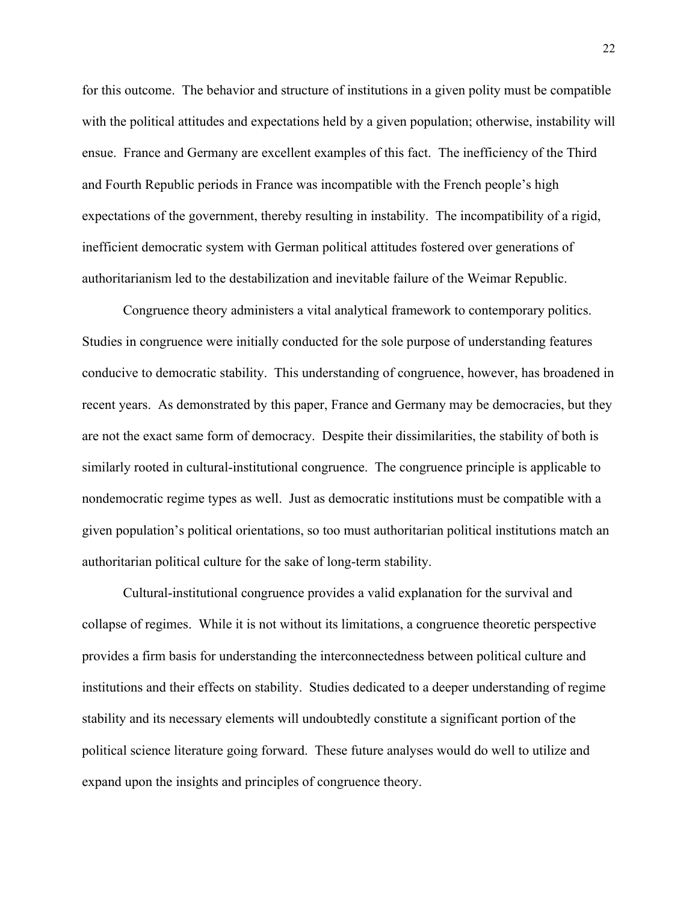for this outcome. The behavior and structure of institutions in a given polity must be compatible with the political attitudes and expectations held by a given population; otherwise, instability will ensue. France and Germany are excellent examples of this fact. The inefficiency of the Third and Fourth Republic periods in France was incompatible with the French people's high expectations of the government, thereby resulting in instability. The incompatibility of a rigid, inefficient democratic system with German political attitudes fostered over generations of authoritarianism led to the destabilization and inevitable failure of the Weimar Republic.

Congruence theory administers a vital analytical framework to contemporary politics. Studies in congruence were initially conducted for the sole purpose of understanding features conducive to democratic stability. This understanding of congruence, however, has broadened in recent years. As demonstrated by this paper, France and Germany may be democracies, but they are not the exact same form of democracy. Despite their dissimilarities, the stability of both is similarly rooted in cultural-institutional congruence. The congruence principle is applicable to nondemocratic regime types as well. Just as democratic institutions must be compatible with a given population's political orientations, so too must authoritarian political institutions match an authoritarian political culture for the sake of long-term stability.

Cultural-institutional congruence provides a valid explanation for the survival and collapse of regimes. While it is not without its limitations, a congruence theoretic perspective provides a firm basis for understanding the interconnectedness between political culture and institutions and their effects on stability. Studies dedicated to a deeper understanding of regime stability and its necessary elements will undoubtedly constitute a significant portion of the political science literature going forward. These future analyses would do well to utilize and expand upon the insights and principles of congruence theory.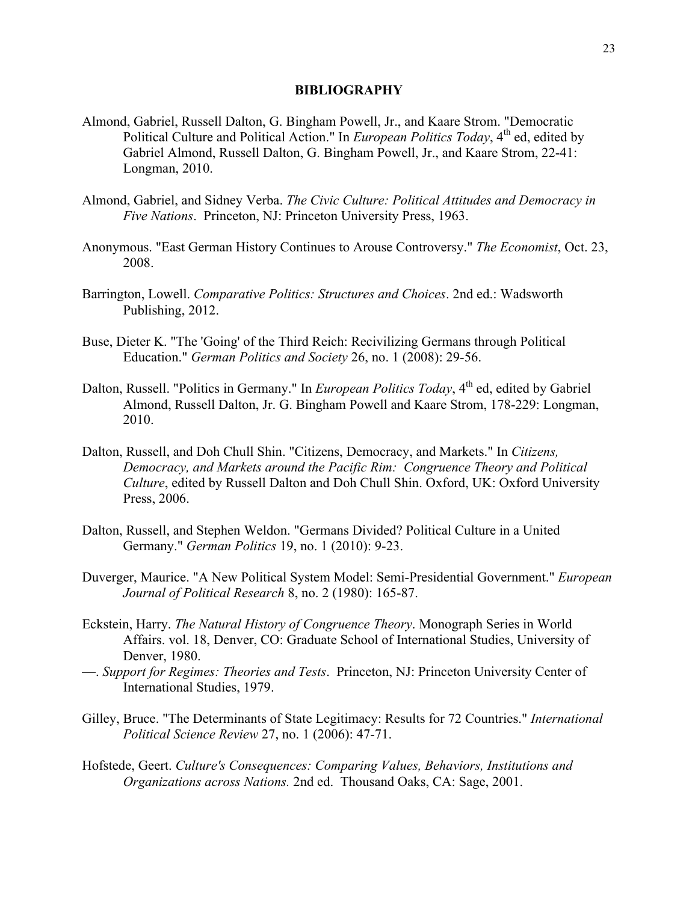#### **BIBLIOGRAPHY**

- Almond, Gabriel, Russell Dalton, G. Bingham Powell, Jr., and Kaare Strom. "Democratic Political Culture and Political Action." In *European Politics Today*, 4<sup>th</sup> ed, edited by Gabriel Almond, Russell Dalton, G. Bingham Powell, Jr., and Kaare Strom, 22-41: Longman, 2010.
- Almond, Gabriel, and Sidney Verba. *The Civic Culture: Political Attitudes and Democracy in Five Nations*. Princeton, NJ: Princeton University Press, 1963.
- Anonymous. "East German History Continues to Arouse Controversy." *The Economist*, Oct. 23, 2008.
- Barrington, Lowell. *Comparative Politics: Structures and Choices*. 2nd ed.: Wadsworth Publishing, 2012.
- Buse, Dieter K. "The 'Going' of the Third Reich: Recivilizing Germans through Political Education." *German Politics and Society* 26, no. 1 (2008): 29-56.
- Dalton, Russell. "Politics in Germany." In *European Politics Today*, 4<sup>th</sup> ed, edited by Gabriel Almond, Russell Dalton, Jr. G. Bingham Powell and Kaare Strom, 178-229: Longman, 2010.
- Dalton, Russell, and Doh Chull Shin. "Citizens, Democracy, and Markets." In *Citizens, Democracy, and Markets around the Pacific Rim: Congruence Theory and Political Culture*, edited by Russell Dalton and Doh Chull Shin. Oxford, UK: Oxford University Press, 2006.
- Dalton, Russell, and Stephen Weldon. "Germans Divided? Political Culture in a United Germany." *German Politics* 19, no. 1 (2010): 9-23.
- Duverger, Maurice. "A New Political System Model: Semi-Presidential Government." *European Journal of Political Research* 8, no. 2 (1980): 165-87.
- Eckstein, Harry. *The Natural History of Congruence Theory*. Monograph Series in World Affairs. vol. 18, Denver, CO: Graduate School of International Studies, University of Denver, 1980.
- —. *Support for Regimes: Theories and Tests*. Princeton, NJ: Princeton University Center of International Studies, 1979.
- Gilley, Bruce. "The Determinants of State Legitimacy: Results for 72 Countries." *International Political Science Review* 27, no. 1 (2006): 47-71.
- Hofstede, Geert. *Culture's Consequences: Comparing Values, Behaviors, Institutions and Organizations across Nations.* 2nd ed. Thousand Oaks, CA: Sage, 2001.